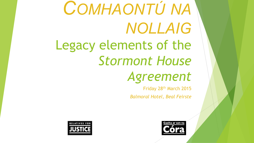# *COMHAONTÚ NA NOLLAIG* Legacy elements of the *Stormont House Agreement*

Friday 28th March 2015 *Balmoral Hotel, Beal Feirste*



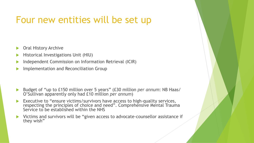#### Four new entities will be set up

- **Oral History Archive**
- Historical Investigations Unit (HIU)
- Independent Commission on Information Retrieval (ICIR)
- Implementation and Reconciliation Group

- u Budget of "up to £150 million over 5 years" (£30 million *per annum*: NB Haas/ O'Sullivan apparently only had £10 million *per annum*)
- Executive to "ensure victims/survivors have access to high-quality services, respecting the principles of choice and need". Comprehensive Mental Trauma Service to be established within the NHS
- Victims and survivors will be "given access to advocate-counsellor assistance if they wish"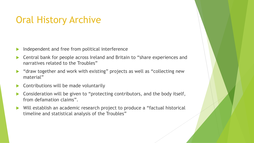#### Oral History Archive

- $\blacktriangleright$  Independent and free from political interference
- Central bank for people across Ireland and Britain to "share experiences and narratives related to the Troubles"
- $\blacktriangleright$  "draw together and work with existing" projects as well as "collecting new material"
- Contributions will be made voluntarily
- Consideration will be given to "protecting contributors, and the body itself, from defamation claims".
- ▶ Will establish an academic research project to produce a "factual historical timeline and statistical analysis of the Troubles"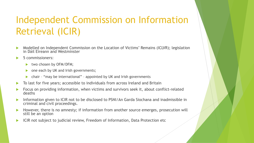## Independent Commission on Information Retrieval (ICIR)

- **Modelled on Independent Commission on the Location of Victims' Remains (ICLVR); legislation** in Dáil Eireann and Westminster
- 5 commissioners:
	- $\blacktriangleright$  two chosen by OFM/DFM;
	- one each by UK and Irish governments;
	- $\triangleright$  chair "may be international" appointed by UK and Irish governments
- To last for five years; accessible to individuals from across Ireland and Britain
- Focus on providing information, when victims and survivors seek it, about conflict-related deaths
- Information given to ICIR not to be disclosed to PSNI/An Garda Siochana and inadmissible in criminal and civil proceedings.
- However, there is no amnesty; if information from another source emerges, prosecution will still be an option
- ICIR not subject to judicial review, Freedom of Information, Data Protection etc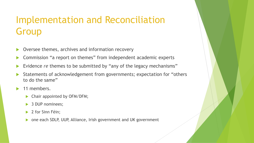## Implementation and Reconciliation Group

- Oversee themes, archives and information recovery
- Commission "a report on themes" from independent academic experts
- Evidence *re* themes to be submitted by "any of the legacy mechanisms"
- Statements of acknowledgement from governments; expectation for "others to do the same"
- $\blacktriangleright$  11 members.
	- $\blacktriangleright$  Chair appointed by OFM/DFM;
	- 3 DUP nominees;
	- 2 for Sinn Féin;
	- one each SDLP, UUP, Alliance, Irish government and UK government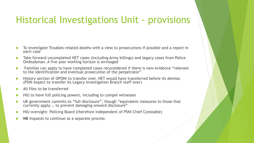#### Historical Investigations Unit - provisions

- To investigate Troubles-related deaths with a view to prosecutions if possible and a report in each case
- Take forward uncompleted HET cases (including Army killings) and legacy cases from Police Ombudsman. A five year working horizon is envisaged
- **EXA** Families can apply to have completed cases reconsidered if there is new evidence "relevant" to the identification and eventual prosecution of the perpetrator"
- History section of OPONI to transfer over. HET would have transferred before its demise. (PSNI expect to transfer its Legacy Investigation Branch staff over)
- All files to be transferred
- HIU to have full policing powers, including to compel witnesses
- UK government commits to "full disclosure", though "equivalent measures to those that currently apply … to prevent damaging onward disclosure"
- u HIU oversight: Policing Board (therefore independent of PSNI Chief Constable)
- NB Inquests to continue as a separate process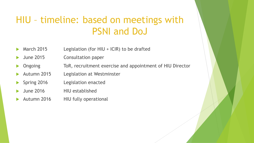### HIU – timeline: based on meetings with PSNI and DoJ

- March 2015 Legislation (for HIU + ICIR) to be drafted
- June 2015 Consultation paper
- Ongoing ToR, recruitment exercise and appointment of HIU Director
- Autumn 2015 Legislation at Westminster
- Spring 2016 Legislation enacted
- u June 2016 HIU established
- Autumn 2016 HIU fully operational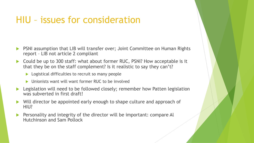#### HIU – issues for consideration

- u PSNI assumption that LIB will transfer over; Joint Committee on Human Rights report – LIB not article 2 compliant
- Could be up to 300 staff: what about former RUC, PSNI? How acceptable is it that they be on the staff complement? Is it realistic to say they can't?
	- $\blacktriangleright$  Logistical difficulties to recruit so many people
	- Unionists want will want former RUC to be involved
- Legislation will need to be followed closely; remember how Patten legislation was subverted in first draft!
- $\triangleright$  Will director be appointed early enough to shape culture and approach of HIU?
- Personality and integrity of the director will be important: compare Al Hutchinson and Sam Pollock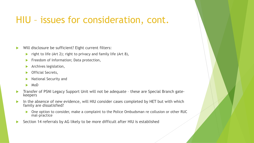#### HIU – issues for consideration, cont.

- Will disclosure be sufficient? Eight current filters:
	- right to life (Art 2); right to privacy and family life (Art 8),
	- $\blacktriangleright$  Freedom of Information; Data protection,
	- $\blacktriangleright$  Archives legislation,
	- $\triangleright$  Official Secrets,
	- National Security and
	- $\blacktriangleright$  MoD
- Transfer of PSNI Legacy Support Unit will not be adequate these are Special Branch gatekeepers
- In the absence of new evidence, will HIU consider cases completed by HET but with which family are dissatisfied?
	- ▶ One option to consider, make a complaint to the Police Ombudsman re collusion or other RUC mal-practice
- Section 14 referrals by AG likely to be more difficult after HIU is established